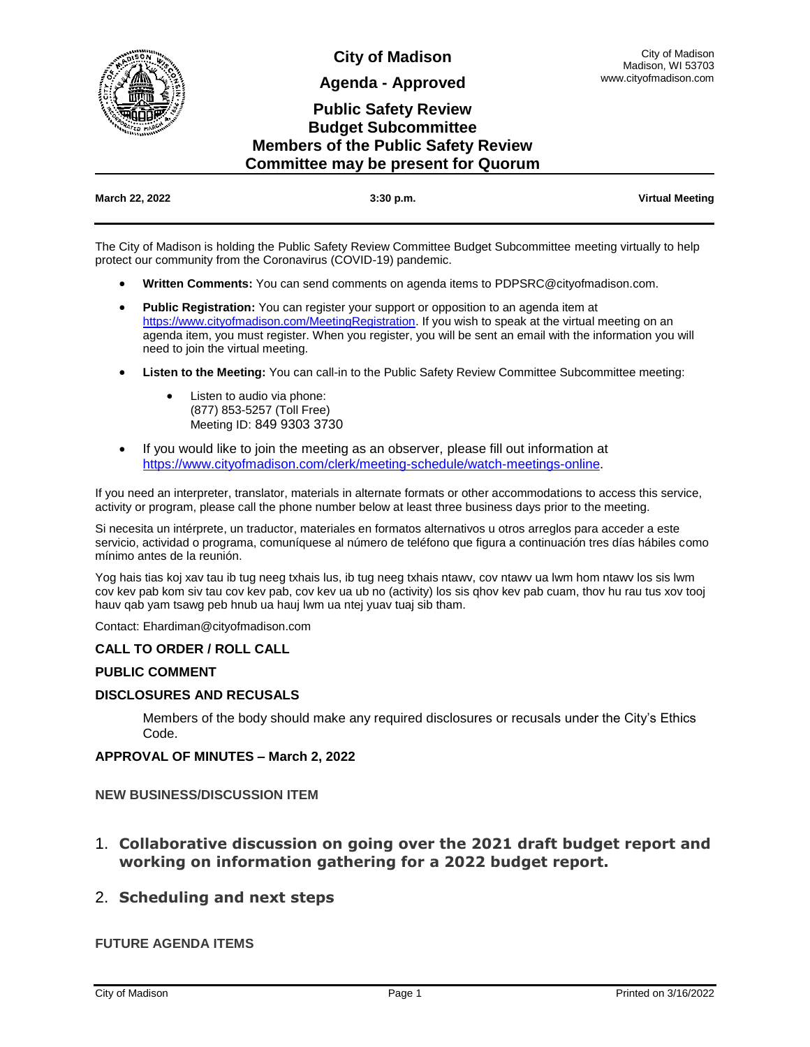

**City of Madison**

**Agenda - Approved**

# **Public Safety Review Budget Subcommittee Members of the Public Safety Review Committee may be present for Quorum**

| March 22, 2022 | $3:30$ p.m. | <b>Virtual Meeting</b> |
|----------------|-------------|------------------------|

The City of Madison is holding the Public Safety Review Committee Budget Subcommittee meeting virtually to help protect our community from the Coronavirus (COVID-19) pandemic.

- **Written Comments:** You can send comments on agenda items to PDPSRC@cityofmadison.com.
- **Public Registration:** You can register your support or opposition to an agenda item at [https://www.cityofmadison.com/MeetingRegistration.](https://www.cityofmadison.com/MeetingRegistration) If you wish to speak at the virtual meeting on an agenda item, you must register. When you register, you will be sent an email with the information you will need to join the virtual meeting.
- **Listen to the Meeting:** You can call-in to the Public Safety Review Committee Subcommittee meeting:
	- Listen to audio via phone: (877) 853-5257 (Toll Free) Meeting ID: 849 9303 3730
- If you would like to join the meeting as an observer, please fill out information at [https://www.cityofmadison.com/clerk/meeting-schedule/watch-meetings-online.](https://www.cityofmadison.com/clerk/meeting-schedule/watch-meetings-online)

If you need an interpreter, translator, materials in alternate formats or other accommodations to access this service, activity or program, please call the phone number below at least three business days prior to the meeting.

Si necesita un intérprete, un traductor, materiales en formatos alternativos u otros arreglos para acceder a este servicio, actividad o programa, comuníquese al número de teléfono que figura a continuación tres días hábiles como mínimo antes de la reunión.

Yog hais tias koj xav tau ib tug neeg txhais lus, ib tug neeg txhais ntawv, cov ntawv ua lwm hom ntawv los sis lwm cov kev pab kom siv tau cov kev pab, cov kev ua ub no (activity) los sis qhov kev pab cuam, thov hu rau tus xov tooj hauv qab yam tsawg peb hnub ua hauj lwm ua ntej yuav tuaj sib tham.

Contact: Ehardiman@cityofmadison.com

#### **CALL TO ORDER / ROLL CALL**

#### **PUBLIC COMMENT**

### **DISCLOSURES AND RECUSALS**

Members of the body should make any required disclosures or recusals under the City's Ethics Code.

#### **APPROVAL OF MINUTES – March 2, 2022**

**NEW BUSINESS/DISCUSSION ITEM**

1. **Collaborative discussion on going over the 2021 draft budget report and working on information gathering for a 2022 budget report.**

## 2. **Scheduling and next steps**

### **FUTURE AGENDA ITEMS**

City of Madison Madison, WI 53703 www.cityofmadison.com